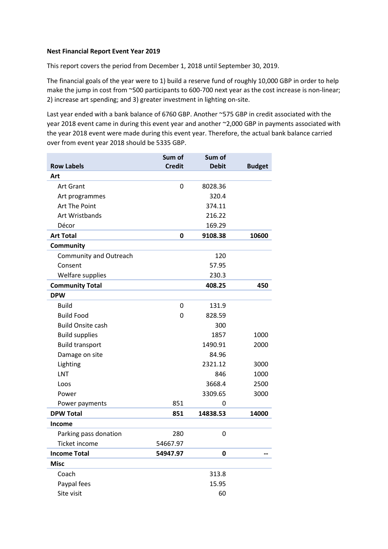## **Nest Financial Report Event Year 2019**

This report covers the period from December 1, 2018 until September 30, 2019.

The financial goals of the year were to 1) build a reserve fund of roughly 10,000 GBP in order to help make the jump in cost from ~500 participants to 600-700 next year as the cost increase is non-linear; 2) increase art spending; and 3) greater investment in lighting on-site.

Last year ended with a bank balance of 6760 GBP. Another ~575 GBP in credit associated with the year 2018 event came in during this event year and another ~2,000 GBP in payments associated with the year 2018 event were made during this event year. Therefore, the actual bank balance carried over from event year 2018 should be 5335 GBP.

|                               | Sum of        | Sum of       |               |
|-------------------------------|---------------|--------------|---------------|
| <b>Row Labels</b>             | <b>Credit</b> | <b>Debit</b> | <b>Budget</b> |
| Art                           |               |              |               |
| <b>Art Grant</b>              | 0             | 8028.36      |               |
| Art programmes                |               | 320.4        |               |
| Art The Point                 |               | 374.11       |               |
| Art Wristbands                |               | 216.22       |               |
| Décor                         |               | 169.29       |               |
| <b>Art Total</b>              | 0             | 9108.38      | 10600         |
| Community                     |               |              |               |
| <b>Community and Outreach</b> |               | 120          |               |
| Consent                       |               | 57.95        |               |
| Welfare supplies              |               | 230.3        |               |
| <b>Community Total</b>        |               | 408.25       | 450           |
| <b>DPW</b>                    |               |              |               |
| <b>Build</b>                  | 0             | 131.9        |               |
| <b>Build Food</b>             | 0             | 828.59       |               |
| <b>Build Onsite cash</b>      |               | 300          |               |
| <b>Build supplies</b>         |               | 1857         | 1000          |
| <b>Build transport</b>        |               | 1490.91      | 2000          |
| Damage on site                |               | 84.96        |               |
| Lighting                      |               | 2321.12      | 3000          |
| <b>LNT</b>                    |               | 846          | 1000          |
| Loos                          |               | 3668.4       | 2500          |
| Power                         |               | 3309.65      | 3000          |
| Power payments                | 851           | 0            |               |
| <b>DPW Total</b>              | 851           | 14838.53     | 14000         |
| Income                        |               |              |               |
| Parking pass donation         | 280           | 0            |               |
| Ticket income                 | 54667.97      |              |               |
| <b>Income Total</b>           | 54947.97      | $\bf{0}$     |               |
| <b>Misc</b>                   |               |              |               |
| Coach                         |               | 313.8        |               |
| Paypal fees                   |               | 15.95        |               |
| Site visit                    |               | 60           |               |